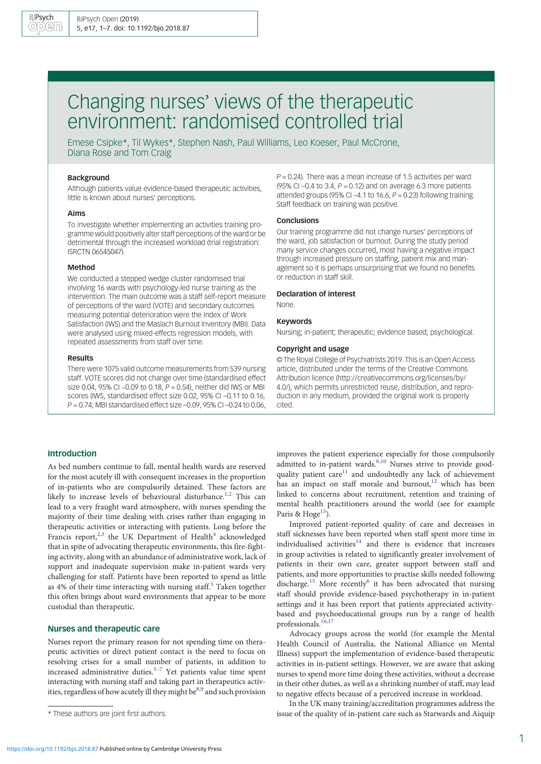# Changing nurses' views of the therapeutic environment: randomised controlled trial

Emese Csipke\*, Til Wykes\*, Stephen Nash, Paul Williams, Leo Koeser, Paul McCrone, Diana Rose and Tom Craig

#### Background

Although patients value evidence-based therapeutic activities, little is known about nurses' perceptions.

## Aims

To investigate whether implementing an activities training programme would positively alter staff perceptions of the ward or be detrimental through the increased workload (trial registration: ISRCTN 06545047).

#### Method

We conducted a stepped wedge cluster randomised trial involving 16 wards with psychology-led nurse training as the intervention. The main outcome was a staff self-report measure of perceptions of the ward (VOTE) and secondary outcomes measuring potential deterioration were the Index of Work Satisfaction (IWS) and the Maslach Burnout Inventory (MBI). Data were analysed using mixed-effects regression models, with repeated assessments from staff over time.

#### Results

There were 1075 valid outcome measurements from 539 nursing staff. VOTE scores did not change over time (standardised effect size 0.04, 95% CI –0.09 to 0.18,  $P = 0.54$ ), neither did IWS or MBI scores (IWS, standardised effect size 0.02, 95% CI –0.11 to 0.16,  $P = 0.74$ ; MBI standardised effect size  $-0.09$ , 95% CI $-0.24$  to 0.06,

# Introduction

As bed numbers continue to fall, mental health wards are reserved for the most acutely ill with consequent increases in the proportion of in-patients who are compulsorily detained. These factors are likely to increase levels of behavioural disturbance.<sup>[1](#page-5-0),[2](#page-5-0)</sup> This can lead to a very fraught ward atmosphere, with nurses spending the majority of their time dealing with crises rather than engaging in therapeutic activities or interacting with patients. Long before the Francis report, $2,3$  $2,3$  $2,3$  the UK Department of Health<sup>4</sup> acknowledged that in spite of advocating therapeutic environments, this fire-fighting activity, along with an abundance of administrative work, lack of support and inadequate supervision make in-patient wards very challenging for staff. Patients have been reported to spend as little as  $4\%$  of their time interacting with nursing staff.<sup>[5](#page-5-0)</sup> Taken together this often brings about ward environments that appear to be more custodial than therapeutic.

## Nurses and therapeutic care

Nurses report the primary reason for not spending time on therapeutic activities or direct patient contact is the need to focus on resolving crises for a small number of patients, in addition to increased administrative duties.<sup>[5](#page-5-0)-[7](#page-5-0)</sup> Yet patients value time spent interacting with nursing staff and taking part in therapeutics activ-ities, regardless of how acutely ill they might be<sup>8,[9](#page-5-0)</sup> and such provision  $P = 0.24$ ). There was a mean increase of 1.5 activities per ward (95% CI –0.4 to 3.4,  $P = 0.12$ ) and on average 6.3 more patients attended groups (95% CI –4.1 to 16.6,  $P = 0.23$ ) following training. Staff feedback on training was positive.

#### Conclusions

Our training programme did not change nurses' perceptions of the ward, job satisfaction or burnout. During the study period many service changes occurred, most having a negative impact through increased pressure on staffing, patient mix and management so it is perhaps unsurprising that we found no benefits or reduction in staff skill.

#### Declaration of interest

None.

# Keywords

Nursing; in-patient; therapeutic; evidence based; psychological.

#### Copyright and usage

© The Royal College of Psychiatrists 2019. This is an Open Access article, distributed under the terms of the Creative Commons Attribution licence (http://creativecommons.org/licenses/by/ 4.0/), which permits unrestricted reuse, distribution, and reproduction in any medium, provided the original work is properly cited.

improves the patient experience especially for those compulsorily admitted to in-patient wards.<sup>8,[10](#page-5-0)</sup> Nurses strive to provide good-quality patient care<sup>[11](#page-5-0)</sup> and undoubtedly any lack of achievement has an impact on staff morale and burnout,<sup>12</sup> which has been linked to concerns about recruitment, retention and training of mental health practitioners around the world (see for example Paris &  $Hoge<sup>13</sup>$ ).

Improved patient-reported quality of care and decreases in staff sicknesses have been reported when staff spent more time in individualised activities $14$  and there is evidence that increases in group activities is related to significantly greater involvement of patients in their own care, greater support between staff and patients, and more opportunities to practise skills needed following discharge.<sup>[15](#page-6-0)</sup> More recently<sup>[6](#page-5-0)</sup> it has been advocated that nursing staff should provide evidence-based psychotherapy in in-patient settings and it has been report that patients appreciated activitybased and psychoeducational groups run by a range of health professionals.<sup>[16](#page-6-0),[17](#page-6-0)</sup>

Advocacy groups across the world (for example the Mental Health Council of Australia, the National Alliance on Mental Illness) support the implementation of evidence-based therapeutic activities in in-patient settings. However, we are aware that asking nurses to spend more time doing these activities, without a decrease in their other duties, as well as a shrinking number of staff, may lead to negative effects because of a perceived increase in workload.

In the UK many training/accreditation programmes address the \* These authors are joint first authors. issue of the quality of in-patient care such as Starwards and Aiquip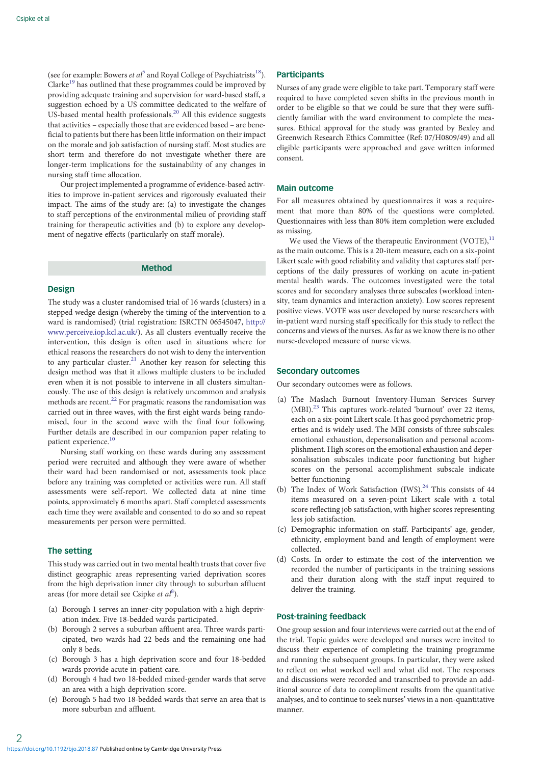(see for example: Bowers *et al*<sup>[5](#page-5-0)</sup> and Royal College of Psychiatrists<sup>[18](#page-6-0)</sup>). Clarke<sup>[19](#page-6-0)</sup> has outlined that these programmes could be improved by providing adequate training and supervision for ward-based staff, a suggestion echoed by a US committee dedicated to the welfare of US-based mental health professionals.<sup>[20](#page-6-0)</sup> All this evidence suggests that activities – especially those that are evidenced based – are beneficial to patients but there has been little information on their impact on the morale and job satisfaction of nursing staff. Most studies are short term and therefore do not investigate whether there are longer-term implications for the sustainability of any changes in nursing staff time allocation.

Our project implemented a programme of evidence-based activities to improve in-patient services and rigorously evaluated their impact. The aims of the study are: (a) to investigate the changes to staff perceptions of the environmental milieu of providing staff training for therapeutic activities and (b) to explore any development of negative effects (particularly on staff morale).

# Method

#### Design

The study was a cluster randomised trial of 16 wards (clusters) in a stepped wedge design (whereby the timing of the intervention to a ward is randomised) (trial registration: ISRCTN 06545047, [http://](http://www.perceive.iop.kcl.ac.uk/) [www.perceive.iop.kcl.ac.uk/\)](http://www.perceive.iop.kcl.ac.uk/). As all clusters eventually receive the intervention, this design is often used in situations where for ethical reasons the researchers do not wish to deny the intervention to any particular cluster.<sup>21</sup> Another key reason for selecting this design method was that it allows multiple clusters to be included even when it is not possible to intervene in all clusters simultaneously. The use of this design is relatively uncommon and analysis methods are recent.<sup>[22](#page-6-0)</sup> For pragmatic reasons the randomisation was carried out in three waves, with the first eight wards being randomised, four in the second wave with the final four following. Further details are described in our companion paper relating to patient experience.<sup>[10](#page-5-0)</sup>

Nursing staff working on these wards during any assessment period were recruited and although they were aware of whether their ward had been randomised or not, assessments took place before any training was completed or activities were run. All staff assessments were self-report. We collected data at nine time points, approximately 6 months apart. Staff completed assessments each time they were available and consented to do so and so repeat measurements per person were permitted.

# The setting

This study was carried out in two mental health trusts that cover five distinct geographic areas representing varied deprivation scores from the high deprivation inner city through to suburban affluent areas (for more detail see Csipke et  $al^8$  $al^8$ ).

- (a) Borough 1 serves an inner-city population with a high deprivation index. Five 18-bedded wards participated.
- (b) Borough 2 serves a suburban affluent area. Three wards participated, two wards had 22 beds and the remaining one had only 8 beds.
- (c) Borough 3 has a high deprivation score and four 18-bedded wards provide acute in-patient care.
- (d) Borough 4 had two 18-bedded mixed-gender wards that serve an area with a high deprivation score.
- (e) Borough 5 had two 18-bedded wards that serve an area that is more suburban and affluent.

#### **Participants**

Nurses of any grade were eligible to take part. Temporary staff were required to have completed seven shifts in the previous month in order to be eligible so that we could be sure that they were sufficiently familiar with the ward environment to complete the measures. Ethical approval for the study was granted by Bexley and Greenwich Research Ethics Committee (Ref: 07/H0809/49) and all eligible participants were approached and gave written informed consent.

## Main outcome

For all measures obtained by questionnaires it was a requirement that more than 80% of the questions were completed. Questionnaires with less than 80% item completion were excluded as missing.

We used the Views of the therapeutic Environment  $(VOTE)$ ,<sup>11</sup> as the main outcome. This is a 20-item measure, each on a six-point Likert scale with good reliability and validity that captures staff perceptions of the daily pressures of working on acute in-patient mental health wards. The outcomes investigated were the total scores and for secondary analyses three subscales (workload intensity, team dynamics and interaction anxiety). Low scores represent positive views. VOTE was user developed by nurse researchers with in-patient ward nursing staff specifically for this study to reflect the concerns and views of the nurses. As far as we know there is no other nurse-developed measure of nurse views.

#### Secondary outcomes

Our secondary outcomes were as follows.

- (a) The Maslach Burnout Inventory-Human Services Survey  $(MBI).<sup>23</sup>$  $(MBI).<sup>23</sup>$  $(MBI).<sup>23</sup>$  This captures work-related 'burnout' over 22 items, each on a six-point Likert scale. It has good psychometric properties and is widely used. The MBI consists of three subscales: emotional exhaustion, depersonalisation and personal accomplishment. High scores on the emotional exhaustion and depersonalisation subscales indicate poor functioning but higher scores on the personal accomplishment subscale indicate better functioning
- (b) The Index of Work Satisfaction  $(IWS)$ .<sup>[24](#page-6-0)</sup> This consists of 44 items measured on a seven-point Likert scale with a total score reflecting job satisfaction, with higher scores representing less job satisfaction.
- (c) Demographic information on staff. Participants' age, gender, ethnicity, employment band and length of employment were collected.
- (d) Costs. In order to estimate the cost of the intervention we recorded the number of participants in the training sessions and their duration along with the staff input required to deliver the training.

#### Post-training feedback

One group session and four interviews were carried out at the end of the trial. Topic guides were developed and nurses were invited to discuss their experience of completing the training programme and running the subsequent groups. In particular, they were asked to reflect on what worked well and what did not. The responses and discussions were recorded and transcribed to provide an additional source of data to compliment results from the quantitative analyses, and to continue to seek nurses' views in a non-quantitative manner.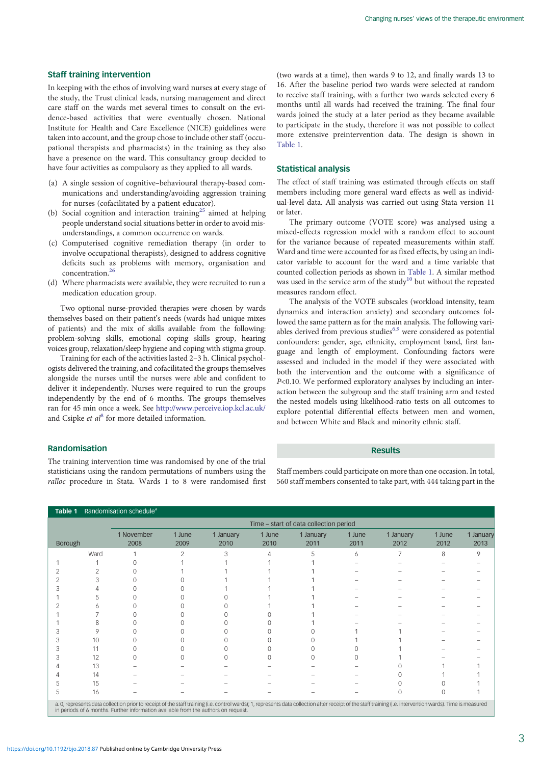# Staff training intervention

In keeping with the ethos of involving ward nurses at every stage of the study, the Trust clinical leads, nursing management and direct care staff on the wards met several times to consult on the evidence-based activities that were eventually chosen. National Institute for Health and Care Excellence (NICE) guidelines were taken into account, and the group chose to include other staff (occupational therapists and pharmacists) in the training as they also have a presence on the ward. This consultancy group decided to have four activities as compulsory as they applied to all wards.

- (a) A single session of cognitive–behavioural therapy-based communications and understanding/avoiding aggression training for nurses (cofacilitated by a patient educator).
- (b) Social cognition and interaction training<sup>25</sup> aimed at helping people understand social situations better in order to avoid misunderstandings, a common occurrence on wards.
- (c) Computerised cognitive remediation therapy (in order to involve occupational therapists), designed to address cognitive deficits such as problems with memory, organisation and concentration.[26](#page-6-0)
- (d) Where pharmacists were available, they were recruited to run a medication education group.

Two optional nurse-provided therapies were chosen by wards themselves based on their patient's needs (wards had unique mixes of patients) and the mix of skills available from the following: problem-solving skills, emotional coping skills group, hearing voices group, relaxation/sleep hygiene and coping with stigma group.

Training for each of the activities lasted 2–3 h. Clinical psychologists delivered the training, and cofacilitated the groups themselves alongside the nurses until the nurses were able and confident to deliver it independently. Nurses were required to run the groups independently by the end of 6 months. The groups themselves ran for 45 min once a week. See <http://www.perceive.iop.kcl.ac.uk/> and Csipke  $et$   $al^8$  $al^8$  for more detailed information.

(two wards at a time), then wards 9 to 12, and finally wards 13 to 16. After the baseline period two wards were selected at random to receive staff training, with a further two wards selected every 6 months until all wards had received the training. The final four wards joined the study at a later period as they became available to participate in the study, therefore it was not possible to collect more extensive preintervention data. The design is shown in Table 1.

#### Statistical analysis

The effect of staff training was estimated through effects on staff members including more general ward effects as well as individual-level data. All analysis was carried out using Stata version 11 or later.

The primary outcome (VOTE score) was analysed using a mixed-effects regression model with a random effect to account for the variance because of repeated measurements within staff. Ward and time were accounted for as fixed effects, by using an indicator variable to account for the ward and a time variable that counted collection periods as shown in Table 1. A similar method was used in the service arm of the study<sup>10</sup> but without the repeated measures random effect.

The analysis of the VOTE subscales (workload intensity, team dynamics and interaction anxiety) and secondary outcomes followed the same pattern as for the main analysis. The following vari-ables derived from previous studies<sup>[6](#page-5-0),[9](#page-5-0)</sup> were considered as potential confounders: gender, age, ethnicity, employment band, first language and length of employment. Confounding factors were assessed and included in the model if they were associated with both the intervention and the outcome with a significance of P<0.10. We performed exploratory analyses by including an interaction between the subgroup and the staff training arm and tested the nested models using likelihood-ratio tests on all outcomes to explore potential differential effects between men and women, and between White and Black and minority ethnic staff.

## Results

The training intervention time was randomised by one of the trial statisticians using the random permutations of numbers using the ralloc procedure in Stata. Wards 1 to 8 were randomised first

Randomisation

Staff members could participate on more than one occasion. In total, 560 staff members consented to take part, with 444 taking part in the

| Table 1        |      | Randomisation schedule <sup>a</sup>                                                                                                                                                                                                                                                               |                |                   |                |                   |                |                   |                |                   |
|----------------|------|---------------------------------------------------------------------------------------------------------------------------------------------------------------------------------------------------------------------------------------------------------------------------------------------------|----------------|-------------------|----------------|-------------------|----------------|-------------------|----------------|-------------------|
|                |      | Time - start of data collection period                                                                                                                                                                                                                                                            |                |                   |                |                   |                |                   |                |                   |
| <b>Borough</b> |      | 1 November<br>2008                                                                                                                                                                                                                                                                                | 1 June<br>2009 | 1 January<br>2010 | 1 June<br>2010 | 1 January<br>2011 | 1 June<br>2011 | 1 January<br>2012 | 1 June<br>2012 | 1 January<br>2013 |
|                | Ward |                                                                                                                                                                                                                                                                                                   | n              |                   |                |                   | 6              |                   | 8              | 9                 |
|                |      |                                                                                                                                                                                                                                                                                                   |                |                   |                |                   |                |                   |                |                   |
|                |      |                                                                                                                                                                                                                                                                                                   |                |                   |                |                   |                |                   |                |                   |
|                |      |                                                                                                                                                                                                                                                                                                   |                |                   |                |                   |                |                   |                |                   |
|                |      |                                                                                                                                                                                                                                                                                                   |                |                   |                |                   |                |                   |                |                   |
|                |      |                                                                                                                                                                                                                                                                                                   |                |                   |                |                   |                |                   |                |                   |
|                |      |                                                                                                                                                                                                                                                                                                   |                |                   |                |                   |                |                   |                |                   |
|                |      |                                                                                                                                                                                                                                                                                                   |                |                   |                |                   |                |                   |                |                   |
|                |      |                                                                                                                                                                                                                                                                                                   |                |                   |                |                   |                |                   |                |                   |
|                |      |                                                                                                                                                                                                                                                                                                   |                |                   |                |                   |                |                   |                |                   |
| 3              | 10   |                                                                                                                                                                                                                                                                                                   |                |                   |                |                   |                |                   |                |                   |
|                | 11   |                                                                                                                                                                                                                                                                                                   |                |                   |                |                   |                |                   |                |                   |
|                | 12   |                                                                                                                                                                                                                                                                                                   |                |                   |                |                   |                |                   |                |                   |
|                | 13   |                                                                                                                                                                                                                                                                                                   |                |                   |                |                   |                |                   |                |                   |
|                | 14   |                                                                                                                                                                                                                                                                                                   |                |                   |                |                   |                |                   |                |                   |
|                | 15   |                                                                                                                                                                                                                                                                                                   |                |                   |                |                   |                |                   |                |                   |
| 5              | 16   |                                                                                                                                                                                                                                                                                                   |                |                   |                |                   |                |                   |                |                   |
|                |      | a. 0, represents data collection prior to receipt of the staff training (i.e. control wards); 1, represents data collection after receipt of the staff training (i.e. intervention wards). Time is measured<br>in periods of 6 months. Further information available from the authors on request. |                |                   |                |                   |                |                   |                |                   |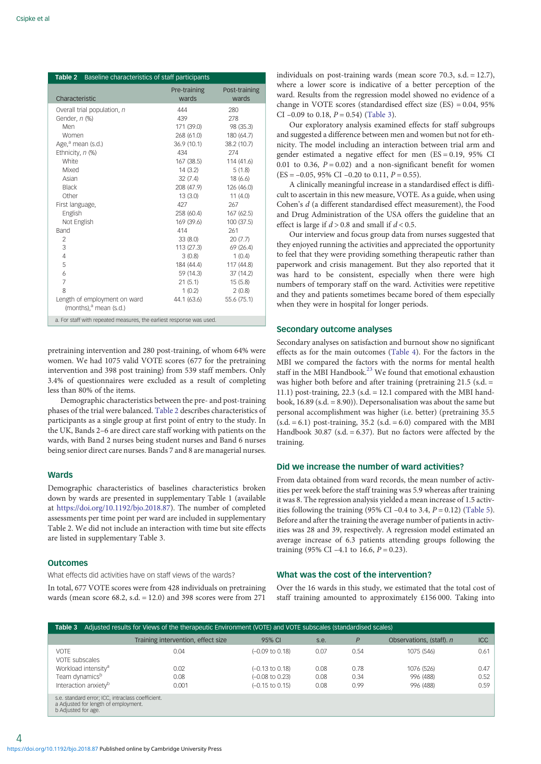| Table 2 Baseline characteristics of staff participants               |                       |                        |  |  |  |  |
|----------------------------------------------------------------------|-----------------------|------------------------|--|--|--|--|
| Characteristic                                                       | Pre-training<br>wards | Post-training<br>wards |  |  |  |  |
| Overall trial population, n                                          | 444                   | 280                    |  |  |  |  |
| Gender, n (%)                                                        | 439                   | 278                    |  |  |  |  |
| Men                                                                  | 171 (39.0)            | 98 (35.3)              |  |  |  |  |
| Women                                                                | 268 (61.0)            | 180 (64.7)             |  |  |  |  |
| Age, <sup>a</sup> mean (s.d.)                                        | 36.9 (10.1)           | 38.2 (10.7)            |  |  |  |  |
| Ethnicity, n (%)                                                     | 434                   | 274                    |  |  |  |  |
| White                                                                | 167 (38.5)            | 114 (41.6)             |  |  |  |  |
| Mixed                                                                | 14(3.2)               | 5(1.8)                 |  |  |  |  |
| Asian                                                                | 32(7.4)               | 18(6.6)                |  |  |  |  |
| Black                                                                | 208 (47.9)            | 126 (46.0)             |  |  |  |  |
| Other                                                                | 13(3.0)               | 11(4.0)                |  |  |  |  |
| First language,                                                      | 427                   | 267                    |  |  |  |  |
| English                                                              | 258 (60.4)            | 167 (62.5)             |  |  |  |  |
| Not English                                                          | 169 (39.6)            | 100 (37.5)             |  |  |  |  |
| <b>Band</b>                                                          | 414                   | 261                    |  |  |  |  |
| 2                                                                    | 33(8.0)               | 20(7.7)                |  |  |  |  |
| 3                                                                    | 113(27.3)             | 69 (26.4)              |  |  |  |  |
| 4                                                                    | 3(0.8)                | 1(0.4)                 |  |  |  |  |
| 5                                                                    | 184 (44.4)            | 117 (44.8)             |  |  |  |  |
| 6                                                                    | 59 (14.3)             | 37 (14.2)              |  |  |  |  |
| 7                                                                    | 21(5.1)               | 15(5.8)                |  |  |  |  |
| 8                                                                    | 1(0.2)                | 2(0.8)                 |  |  |  |  |
| Length of employment on ward<br>(months), <sup>a</sup> mean (s.d.)   | 44.1 (63.6)           | 55.6 (75.1)            |  |  |  |  |
| a. For staff with repeated measures, the earliest response was used. |                       |                        |  |  |  |  |

pretraining intervention and 280 post-training, of whom 64% were women. We had 1075 valid VOTE scores (677 for the pretraining intervention and 398 post training) from 539 staff members. Only 3.4% of questionnaires were excluded as a result of completing less than 80% of the items.

Demographic characteristics between the pre- and post-training phases of the trial were balanced. Table 2 describes characteristics of participants as a single group at first point of entry to the study. In the UK, Bands 2–6 are direct care staff working with patients on the wards, with Band 2 nurses being student nurses and Band 6 nurses being senior direct care nurses. Bands 7 and 8 are managerial nurses.

# Wards

Demographic characteristics of baselines characteristics broken down by wards are presented in supplementary Table 1 (available at <https://doi.org/10.1192/bjo.2018.87>). The number of completed assessments per time point per ward are included in supplementary Table 2. We did not include an interaction with time but site effects are listed in supplementary Table 3.

#### **Outcomes**

What effects did activities have on staff views of the wards?

individuals on post-training wards (mean score 70.3, s.d. = 12.7), where a lower score is indicative of a better perception of the ward. Results from the regression model showed no evidence of a change in VOTE scores (standardised effect size (ES) = 0.04, 95% CI  $-0.09$  to 0.18,  $P = 0.54$ ) (Table 3).

Our exploratory analysis examined effects for staff subgroups and suggested a difference between men and women but not for ethnicity. The model including an interaction between trial arm and gender estimated a negative effect for men  $(ES = 0.19, 95\% \text{ CI})$ 0.01 to 0.36,  $P = 0.02$ ) and a non-significant benefit for women  $(ES = -0.05, 95\% \text{ CI} -0.20 \text{ to } 0.11, P = 0.55).$ 

A clinically meaningful increase in a standardised effect is difficult to ascertain in this new measure, VOTE. As a guide, when using Cohen's d (a different standardised effect measurement), the Food and Drug Administration of the USA offers the guideline that an effect is large if  $d > 0.8$  and small if  $d < 0.5$ .

Our interview and focus group data from nurses suggested that they enjoyed running the activities and appreciated the opportunity to feel that they were providing something therapeutic rather than paperwork and crisis management. But they also reported that it was hard to be consistent, especially when there were high numbers of temporary staff on the ward. Activities were repetitive and they and patients sometimes became bored of them especially when they were in hospital for longer periods.

## Secondary outcome analyses

Secondary analyses on satisfaction and burnout show no significant effects as for the main outcomes [\(Table 4\)](#page-4-0). For the factors in the MBI we compared the factors with the norms for mental health staff in the MBI Handbook.<sup>[23](#page-6-0)</sup> We found that emotional exhaustion was higher both before and after training (pretraining 21.5 (s.d. = 11.1) post-training, 22.3 (s.d.  $= 12.1$  compared with the MBI handbook, 16.89 (s.d. = 8.90)). Depersonalisation was about the same but personal accomplishment was higher (i.e. better) (pretraining 35.5  $(s.d. = 6.1)$  post-training, 35.2  $(s.d. = 6.0)$  compared with the MBI Handbook  $30.87$  (s.d. = 6.37). But no factors were affected by the training.

# Did we increase the number of ward activities?

From data obtained from ward records, the mean number of activities per week before the staff training was 5.9 whereas after training it was 8. The regression analysis yielded a mean increase of 1.5 activities following the training (95% CI –0.4 to 3.4,  $P = 0.12$ ) ([Table 5](#page-4-0)). Before and after the training the average number of patients in activities was 28 and 39, respectively. A regression model estimated an average increase of 6.3 patients attending groups following the training (95% CI –4.1 to 16.6,  $P = 0.23$ ).

#### What was the cost of the intervention?

In total, 677 VOTE scores were from 428 individuals on pretraining wards (mean score  $68.2$ , s.d. = 12.0) and 398 scores were from 271

Over the 16 wards in this study, we estimated that the total cost of staff training amounted to approximately £156 000. Taking into

| Adjusted results for Views of the therapeutic Environment (VOTE) and VOTE subscales (standardised scales)<br>Table 3 |                                    |                            |      |      |                          |            |
|----------------------------------------------------------------------------------------------------------------------|------------------------------------|----------------------------|------|------|--------------------------|------------|
|                                                                                                                      | Training intervention, effect size | 95% CI                     | s.e. | P    | Observations, (staff). n | <b>ICC</b> |
| <b>VOTE</b>                                                                                                          | 0.04                               | $(-0.09)$ to $0.18$ )      | 0.07 | 0.54 | 1075 (546)               | 0.61       |
| VOTE subscales<br>Workload intensity <sup>a</sup>                                                                    | 0.02                               | $(-0.13 \text{ to } 0.18)$ | 0.08 | 0.78 | 1076 (526)               | 0.47       |
| Team dynamics <sup>b</sup>                                                                                           | 0.08                               | $(-0.08 \text{ to } 0.23)$ | 0.08 | 0.34 | 996 (488)                | 0.52       |
| Interaction anxiety <sup>b</sup>                                                                                     | 0.001                              | $(-0.15 \text{ to } 0.15)$ | 0.08 | 0.99 | 996 (488)                | 0.59       |
| s.e. standard error; ICC, intraclass coefficient.<br>a Adjusted for length of employment.<br>b Adjusted for age.     |                                    |                            |      |      |                          |            |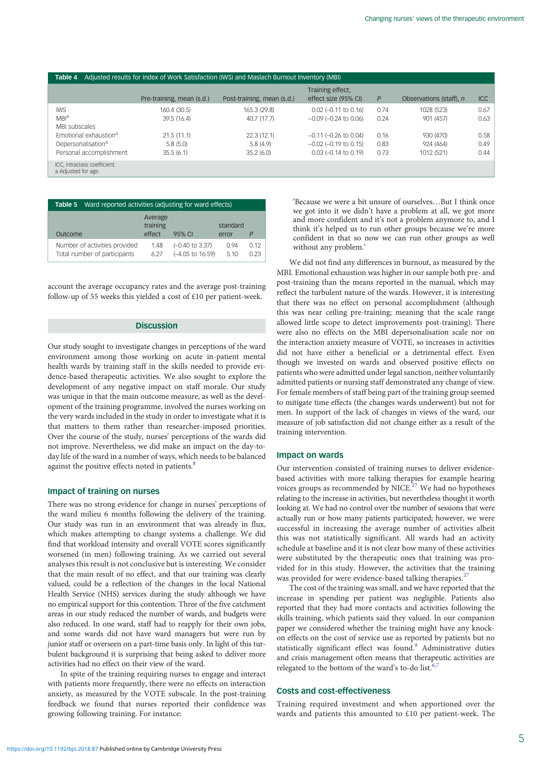<span id="page-4-0"></span>

| Adjusted results for Index of Work Satisfaction (IWS) and Maslach Burnout Inventory (MBI)<br>Table 4 |                                     |                                     |                                                                                          |                      |                                      |                      |  |  |
|------------------------------------------------------------------------------------------------------|-------------------------------------|-------------------------------------|------------------------------------------------------------------------------------------|----------------------|--------------------------------------|----------------------|--|--|
|                                                                                                      | Pre-training, mean (s.d.)           | Post-training, mean (s.d.)          | Training effect,<br>effect size (95% CI)                                                 | P                    | Observations (staff), n              | <b>ICC</b>           |  |  |
| <b>IWS</b><br>MBI <sup>a</sup><br>MBI subscales                                                      | 160.4 (30.5)<br>39.5(16.4)          | 165.3 (29.8)<br>40.7 (17.7)         | $0.02$ (-0.11 to 0.16)<br>$-0.09$ $(-0.24$ to $0.06$ )                                   | 0.74<br>0.24         | 1028 (523)<br>901 (457)              | 0.67<br>0.63         |  |  |
| Emotional exhaustion <sup>a</sup><br>Depersonalisation <sup>a</sup><br>Personal accomplishment       | 21.5(11.1)<br>5.8(5.0)<br>35.5(6.1) | 22.3(12.1)<br>5.8(4.9)<br>35.2(6.0) | $-0.11$ ( $-0.26$ to 0.04)<br>$-0.02$ ( $-0.19$ to 0.15)<br>$0.03$ ( $-0.14$ to $0.19$ ) | 0.16<br>0.83<br>0.73 | 930 (470)<br>924 (464)<br>1012 (521) | 0.58<br>0.49<br>0.44 |  |  |
| ICC, intraclass coefficient.<br>a Adjusted for age.                                                  |                                     |                                     |                                                                                          |                      |                                      |                      |  |  |

| Table 5                                                       | Ward reported activities (adjusting for ward effects) |                                                           |             |              |  |  |  |
|---------------------------------------------------------------|-------------------------------------------------------|-----------------------------------------------------------|-------------|--------------|--|--|--|
|                                                               | Average<br>training                                   |                                                           | standard    |              |  |  |  |
| Outcome                                                       | effect                                                | 95% CI                                                    | error       |              |  |  |  |
| Number of activities provided<br>Total number of participants | 1.48<br>6.27                                          | $(-0.40 \text{ to } 3.37)$<br>$(-4.05 \text{ to } 16.59)$ | O 94<br>510 | 0.12<br>0.23 |  |  |  |

account the average occupancy rates and the average post-training follow-up of 55 weeks this yielded a cost of £10 per patient-week.

#### **Discussion**

Our study sought to investigate changes in perceptions of the ward environment among those working on acute in-patient mental health wards by training staff in the skills needed to provide evidence-based therapeutic activities. We also sought to explore the development of any negative impact on staff morale. Our study was unique in that the main outcome measure, as well as the development of the training programme, involved the nurses working on the very wards included in the study in order to investigate what it is that matters to them rather than researcher-imposed priorities. Over the course of the study, nurses' perceptions of the wards did not improve. Nevertheless, we did make an impact on the day-today life of the ward in a number of ways, which needs to be balanced against the positive effects noted in patients.<sup>[8](#page-5-0)</sup>

# Impact of training on nurses

There was no strong evidence for change in nurses' perceptions of the ward milieu 6 months following the delivery of the training. Our study was run in an environment that was already in flux, which makes attempting to change systems a challenge. We did find that workload intensity and overall VOTE scores significantly worsened (in men) following training. As we carried out several analyses this result is not conclusive but is interesting. We consider that the main result of no effect, and that our training was clearly valued, could be a reflection of the changes in the local National Health Service (NHS) services during the study although we have no empirical support for this contention. Three of the five catchment areas in our study reduced the number of wards, and budgets were also reduced. In one ward, staff had to reapply for their own jobs, and some wards did not have ward managers but were run by junior staff or overseen on a part-time basis only. In light of this turbulent background it is surprising that being asked to deliver more activities had no effect on their view of the ward.

In spite of the training requiring nurses to engage and interact with patients more frequently, there were no effects on interaction anxiety, as measured by the VOTE subscale. In the post-training feedback we found that nurses reported their confidence was growing following training. For instance:

'Because we were a bit unsure of ourselves…But I think once we got into it we didn't have a problem at all, we got more and more confident and it's not a problem anymore to, and I think it's helped us to run other groups because we're more confident in that so now we can run other groups as well without any problem.'

We did not find any differences in burnout, as measured by the MBI. Emotional exhaustion was higher in our sample both pre- and post-training than the means reported in the manual, which may reflect the turbulent nature of the wards. However, it is interesting that there was no effect on personal accomplishment (although this was near ceiling pre-training; meaning that the scale range allowed little scope to detect improvements post-training). There were also no effects on the MBI depersonalisation scale nor on the interaction anxiety measure of VOTE, so increases in activities did not have either a beneficial or a detrimental effect. Even though we invested on wards and observed positive effects on patients who were admitted under legal sanction, neither voluntarily admitted patients or nursing staff demonstrated any change of view. For female members of staff being part of the training group seemed to mitigate time effects (the changes wards underwent) but not for men. In support of the lack of changes in views of the ward, our measure of job satisfaction did not change either as a result of the training intervention.

#### Impact on wards

Our intervention consisted of training nurses to deliver evidencebased activities with more talking therapies for example hearing voices groups as recommended by NICE.<sup>27</sup> We had no hypotheses relating to the increase in activities, but nevertheless thought it worth looking at. We had no control over the number of sessions that were actually run or how many patients participated; however, we were successful in increasing the average number of activities albeit this was not statistically significant. All wards had an activity schedule at baseline and it is not clear how many of these activities were substituted by the therapeutic ones that training was provided for in this study. However, the activities that the training was provided for were evidence-based talking therapies.<sup>[27](#page-6-0)</sup>

The cost of the training was small, and we have reported that the increase in spending per patient was negligible. Patients also reported that they had more contacts and activities following the skills training, which patients said they valued. In our companion paper we considered whether the training might have any knockon effects on the cost of service use as reported by patients but no statistically significant effect was found.<sup>9</sup> Administrative duties and crisis management often means that therapeutic activities are relegated to the bottom of the ward's to-do list.<sup>6</sup>

# Costs and cost-effectiveness

Training required investment and when apportioned over the wards and patients this amounted to £10 per patient-week. The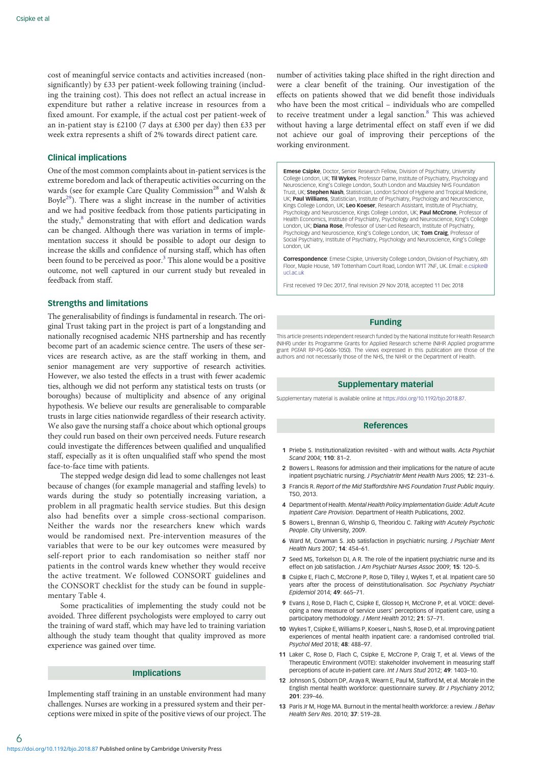<span id="page-5-0"></span>cost of meaningful service contacts and activities increased (nonsignificantly) by £33 per patient-week following training (including the training cost). This does not reflect an actual increase in expenditure but rather a relative increase in resources from a fixed amount. For example, if the actual cost per patient-week of an in-patient stay is £2100 (7 days at £300 per day) then £33 per week extra represents a shift of 2% towards direct patient care.

## Clinical implications

One of the most common complaints about in-patient services is the extreme boredom and lack of therapeutic activities occurring on the wards (see for example Care Quality Commission<sup>28</sup> and Walsh & Boyle<sup>29</sup>). There was a slight increase in the number of activities and we had positive feedback from those patients participating in the study,<sup>8</sup> demonstrating that with effort and dedication wards can be changed. Although there was variation in terms of implementation success it should be possible to adopt our design to increase the skills and confidence of nursing staff, which has often been found to be perceived as poor.<sup>3</sup> This alone would be a positive outcome, not well captured in our current study but revealed in feedback from staff.

# Strengths and limitations

The generalisability of findings is fundamental in research. The original Trust taking part in the project is part of a longstanding and nationally recognised academic NHS partnership and has recently become part of an academic science centre. The users of these services are research active, as are the staff working in them, and senior management are very supportive of research activities. However, we also tested the effects in a trust with fewer academic ties, although we did not perform any statistical tests on trusts (or boroughs) because of multiplicity and absence of any original hypothesis. We believe our results are generalisable to comparable trusts in large cities nationwide regardless of their research activity. We also gave the nursing staff a choice about which optional groups they could run based on their own perceived needs. Future research could investigate the differences between qualified and unqualified staff, especially as it is often unqualified staff who spend the most face-to-face time with patients.

The stepped wedge design did lead to some challenges not least because of changes (for example managerial and staffing levels) to wards during the study so potentially increasing variation, a problem in all pragmatic health service studies. But this design also had benefits over a simple cross-sectional comparison. Neither the wards nor the researchers knew which wards would be randomised next. Pre-intervention measures of the variables that were to be our key outcomes were measured by self-report prior to each randomisation so neither staff nor patients in the control wards knew whether they would receive the active treatment. We followed CONSORT guidelines and the CONSORT checklist for the study can be found in supplementary Table 4.

Some practicalities of implementing the study could not be avoided. Three different psychologists were employed to carry out the training of ward staff, which may have led to training variation although the study team thought that quality improved as more experience was gained over time.

# Implications

Implementing staff training in an unstable environment had many challenges. Nurses are working in a pressured system and their perceptions were mixed in spite of the positive views of our project. The number of activities taking place shifted in the right direction and were a clear benefit of the training. Our investigation of the effects on patients showed that we did benefit those individuals who have been the most critical – individuals who are compelled to receive treatment under a legal sanction.<sup>8</sup> This was achieved without having a large detrimental effect on staff even if we did not achieve our goal of improving their perceptions of the working environment.

Emese Csipke, Doctor, Senior Research Fellow, Division of Psychiatry, University College London, UK; Til Wykes, Professor Dame, Institute of Psychiatry, Psychology and Neuroscience, King's College London, South London and Maudsley NHS Foundation Trust, UK; Stephen Nash, Statistician, London School of Hygiene and Tropical Medicine, UK; Paul Williams, Statistician, Institute of Psychiatry, Psychology and Neuroscience, Kings College London, UK; Leo Koeser, Research Assistant, Institute of Psychiatry, Psychology and Neuroscience, Kings College London, UK; Paul McCrone, Professor of Health Economics, Institute of Psychiatry, Psychology and Neuroscience, King's College London, UK; Diana Rose, Professor of User-Led Research, Institute of Psychiatry, Psychology and Neuroscience, King's College London, UK; Tom Craig, Professor of Social Psychiatry, Institute of Psychiatry, Psychology and Neuroscience, King's College London, UK

Correspondence: Emese Csipke, University College London, Division of Psychiatry, 6th Floor, Maple House, 149 Tottenham Court Road, London W1T 7NF, UK. Email: [e.csipke@](mailto:e.csipke@ucl.ac.uk) [ucl.ac.uk](mailto:e.csipke@ucl.ac.uk)

First received 19 Dec 2017, final revision 29 Nov 2018, accepted 11 Dec 2018

# Funding

This article presents independent research funded by the National Institute for Health Research (NIHR) under its Programme Grants for Applied Research scheme (NIHR Applied programme grant PGfAR RP-PG-0606-1050). The views expressed in this publication are those of the authors and not necessarily those of the NHS, the NIHR or the Department of Health.

## Supplementary material

Supplementary material is available online at <https://doi.org/10.1192/bjo.2018.87>.

#### References

- 1 Priebe S. Institutionalization revisited with and without walls. Acta Psychiat Scand 2004; 110: 81–2.
- 2 Bowers L. Reasons for admission and their implications for the nature of acute inpatient psychiatric nursing. J Psychiatritr Ment Health Nurs 2005; 12: 231–6.
- 3 Francis R. Report of the Mid Staffordshire NHS Foundation Trust Public Inquiry. TSO, 2013.
- 4 Department of Health. Mental Health Policy Implementation Guide: Adult Acute Inpatient Care Provision. Department of Health Publications, 2002.
- 5 Bowers L, Brennan G, Winship G, Theoridou C. Talking with Acutely Psychotic People. City University, 2009.
- 6 Ward M, Cowman S. Job satisfaction in psychiatric nursing. J Psychiatr Ment Health Nurs 2007; 14: 454–61.
- 7 Seed MS, Torkelson DJ, A R. The role of the inpatient psychiatric nurse and its effect on job satisfaction. J Am Psychiatr Nurses Assoc 2009; 15: 120–5.
- 8 Csipke E, Flach C, McCrone P, Rose D, Tilley J, Wykes T, et al. Inpatient care 50 years after the process of deinstitutionalisation. Soc Psychiatry Psychiatr Epidemiol 2014; 49: 665–71.
- 9 Evans J, Rose D, Flach C, Csipke E, Glossop H, McCrone P, et al. VOICE: developing a new measure of service users' perceptions of inpatient care, using a participatory methodology. J Ment Health 2012; 21: 57–71.
- 10 Wykes T, Csipke E, Williams P, Koeser L, Nash S, Rose D, et al. Improving patient experiences of mental health inpatient care: a randomised controlled trial. Psychol Med 2018; 48: 488–97.
- 11 Laker C, Rose D, Flach C, Csipke E, McCrone P, Craig T, et al. Views of the Therapeutic Environment (VOTE): stakeholder involvement in measuring staff perceptions of acute in-patient care. Int J Nurs Stud 2012; 49: 1403–10.
- 12 Johnson S, Osborn DP, Araya R, Wearn E, Paul M, Stafford M, et al. Morale in the English mental health workforce: questionnaire survey. Br J Psychiatry 2012; 201: 239–46.
- 13 Paris Jr M, Hoge MA. Burnout in the mental health workforce: a review. J Behav Health Serv Res. 2010; 37: 519–28.